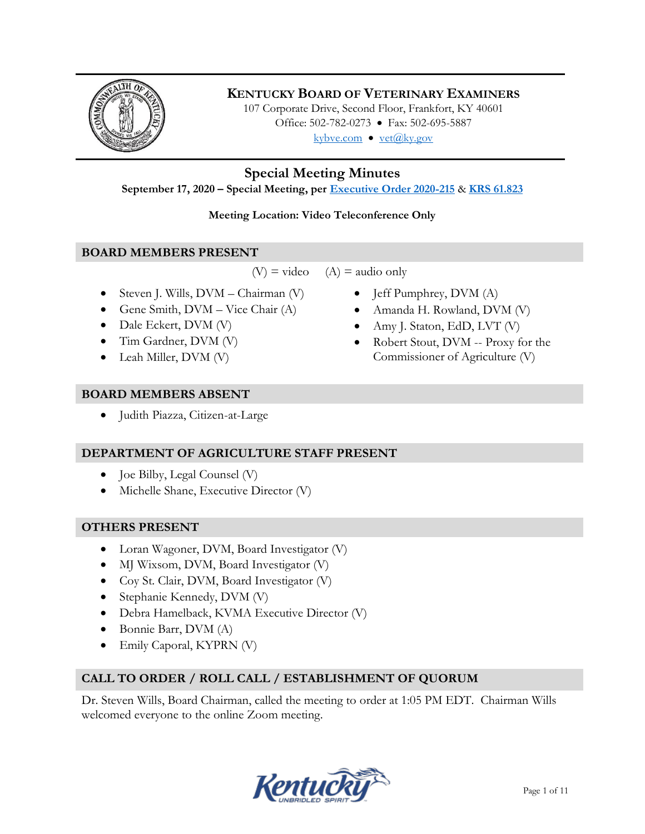

# **KENTUCKY BOARD OF VETERINARY EXAMINERS**

107 Corporate Drive, Second Floor, Frankfort, KY 40601 Office: 502-782-0273 • Fax: 502-695-5887 kybve.com  $\bullet$  vet@ky.gov

**Special Meeting Minutes**

**September 17, 2020 – Special Meeting, per [Executive Order 2020-215](https://governor.ky.gov/attachments/20200306_Executive-Order_2020-215.pdf)** & **[KRS 61.823](https://apps.legislature.ky.gov/law/statutes/statute.aspx?id=23047)**

# **Meeting Location: Video Teleconference Only**

# **BOARD MEMBERS PRESENT**

 $(V)$  = video  $(A)$  = audio only

- Steven J. Wills,  $DVM Chairman (V)$
- Gene Smith,  $DVM Vice$  Chair  $(A)$
- Dale Eckert, DVM (V)
- Tim Gardner, DVM (V)
- Leah Miller, DVM (V)

# **BOARD MEMBERS ABSENT**

Judith Piazza, Citizen-at-Large

# **DEPARTMENT OF AGRICULTURE STAFF PRESENT**

- $\bullet$  Joe Bilby, Legal Counsel (V)
- Michelle Shane, Executive Director (V)

# **OTHERS PRESENT**

- Loran Wagoner, DVM, Board Investigator (V)
- MJ Wixsom, DVM, Board Investigator (V)
- Coy St. Clair, DVM, Board Investigator (V)
- Stephanie Kennedy, DVM (V)
- Debra Hamelback, KVMA Executive Director (V)
- Bonnie Barr, DVM (A)
- Emily Caporal, KYPRN (V)

# **CALL TO ORDER / ROLL CALL / ESTABLISHMENT OF QUORUM**

Dr. Steven Wills, Board Chairman, called the meeting to order at 1:05 PM EDT. Chairman Wills welcomed everyone to the online Zoom meeting.



- $\bullet$  Jeff Pumphrey, DVM (A)
- Amanda H. Rowland, DVM (V)
- Amy J. Staton, EdD, LVT (V)
- Robert Stout, DVM -- Proxy for the Commissioner of Agriculture (V)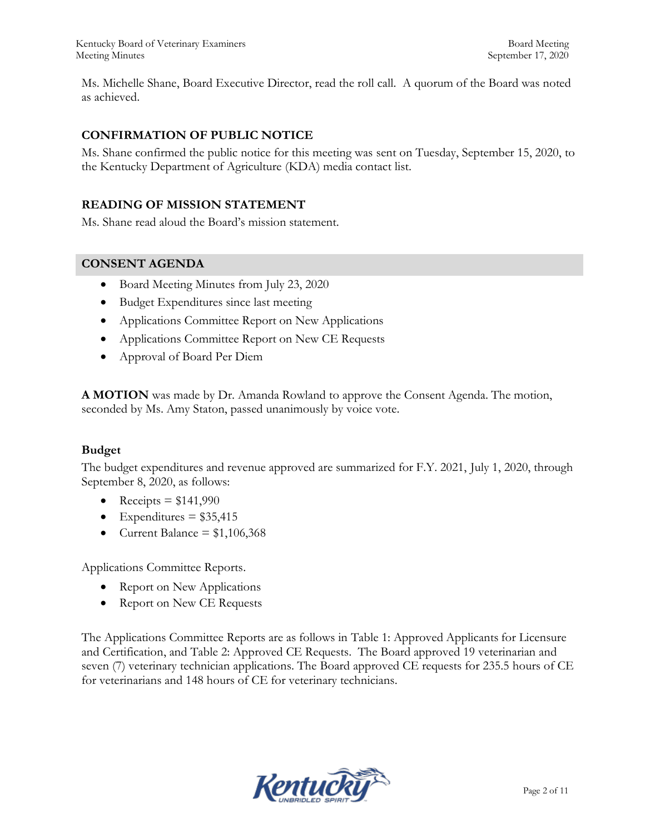Ms. Michelle Shane, Board Executive Director, read the roll call. A quorum of the Board was noted as achieved.

# **CONFIRMATION OF PUBLIC NOTICE**

Ms. Shane confirmed the public notice for this meeting was sent on Tuesday, September 15, 2020, to the Kentucky Department of Agriculture (KDA) media contact list.

#### **READING OF MISSION STATEMENT**

Ms. Shane read aloud the Board's mission statement.

#### **CONSENT AGENDA**

- Board Meeting Minutes from July 23, 2020
- Budget Expenditures since last meeting
- Applications Committee Report on New Applications
- Applications Committee Report on New CE Requests
- Approval of Board Per Diem

**A MOTION** was made by Dr. Amanda Rowland to approve the Consent Agenda. The motion, seconded by Ms. Amy Staton, passed unanimously by voice vote.

#### **Budget**

The budget expenditures and revenue approved are summarized for F.Y. 2021, July 1, 2020, through September 8, 2020, as follows:

- Receipts  $= $141,990$
- Expenditures =  $$35,415$
- Current Balance =  $$1,106,368$

Applications Committee Reports.

- Report on New Applications
- Report on New CE Requests

The Applications Committee Reports are as follows in Table 1: Approved Applicants for Licensure and Certification, and Table 2: Approved CE Requests. The Board approved 19 veterinarian and seven (7) veterinary technician applications. The Board approved CE requests for 235.5 hours of CE for veterinarians and 148 hours of CE for veterinary technicians.

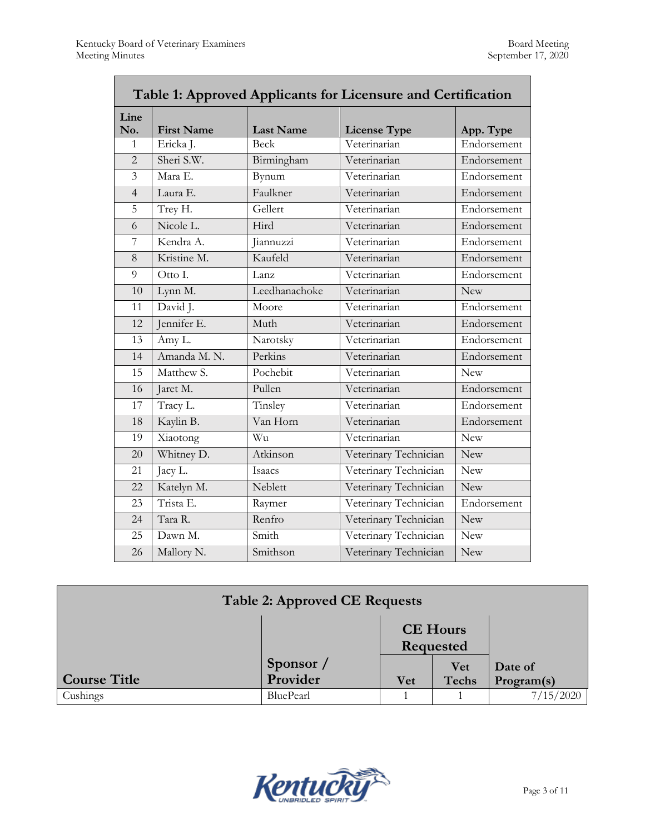| Table 1: Approved Applicants for Licensure and Certification |                   |                  |                       |             |  |
|--------------------------------------------------------------|-------------------|------------------|-----------------------|-------------|--|
| Line<br>No.                                                  | <b>First Name</b> | <b>Last Name</b> | <b>License Type</b>   | App. Type   |  |
| 1                                                            | Ericka J.         | Beck             | Veterinarian          | Endorsement |  |
| $\overline{2}$                                               | Sheri S.W.        | Birmingham       | Veterinarian          | Endorsement |  |
| $\overline{3}$                                               | Mara E.           | Bynum            | Veterinarian          | Endorsement |  |
| $\overline{4}$                                               | Laura E.          | Faulkner         | Veterinarian          | Endorsement |  |
| 5                                                            | Trey H.           | Gellert          | Veterinarian          | Endorsement |  |
| 6                                                            | Nicole L.         | Hird             | Veterinarian          | Endorsement |  |
| 7                                                            | Kendra A.         | Jiannuzzi        | Veterinarian          | Endorsement |  |
| 8                                                            | Kristine M.       | Kaufeld          | Veterinarian          | Endorsement |  |
| 9                                                            | Otto I.           | Lanz             | Veterinarian          | Endorsement |  |
| 10                                                           | Lynn M.           | Leedhanachoke    | Veterinarian          | <b>New</b>  |  |
| 11                                                           | David J.          | Moore            | Veterinarian          | Endorsement |  |
| 12                                                           | Jennifer E.       | Muth             | Veterinarian          | Endorsement |  |
| 13                                                           | Amy L.            | Narotsky         | Veterinarian          | Endorsement |  |
| 14                                                           | Amanda M. N.      | Perkins          | Veterinarian          | Endorsement |  |
| 15                                                           | Matthew S.        | Pochebit         | Veterinarian          | <b>New</b>  |  |
| 16                                                           | Jaret M.          | Pullen           | Veterinarian          | Endorsement |  |
| 17                                                           | Tracy L.          | Tinsley          | Veterinarian          | Endorsement |  |
| 18                                                           | Kaylin B.         | Van Horn         | Veterinarian          | Endorsement |  |
| 19                                                           | Xiaotong          | Wu               | Veterinarian          | <b>New</b>  |  |
| 20                                                           | Whitney D.        | Atkinson         | Veterinary Technician | <b>New</b>  |  |
| 21                                                           | Jacy L.           | Isaacs           | Veterinary Technician | <b>New</b>  |  |
| 22                                                           | Katelyn M.        | Neblett          | Veterinary Technician | <b>New</b>  |  |
| 23                                                           | Trista E.         | Raymer           | Veterinary Technician | Endorsement |  |
| 24                                                           | Tara R.           | Renfro           | Veterinary Technician | New         |  |
| 25                                                           | Dawn M.           | Smith            | Veterinary Technician | <b>New</b>  |  |
| 26                                                           | Mallory N.        | Smithson         | Veterinary Technician | New         |  |

| <b>Table 2: Approved CE Requests</b> |                       |                              |                            |                       |
|--------------------------------------|-----------------------|------------------------------|----------------------------|-----------------------|
|                                      |                       | <b>CE Hours</b><br>Requested |                            |                       |
| <b>Course Title</b>                  | Sponsor /<br>Provider | <b>Vet</b>                   | <b>Vet</b><br><b>Techs</b> | Date of<br>Program(s) |
| Cushings                             | BluePearl             |                              |                            | 7/15/2020             |

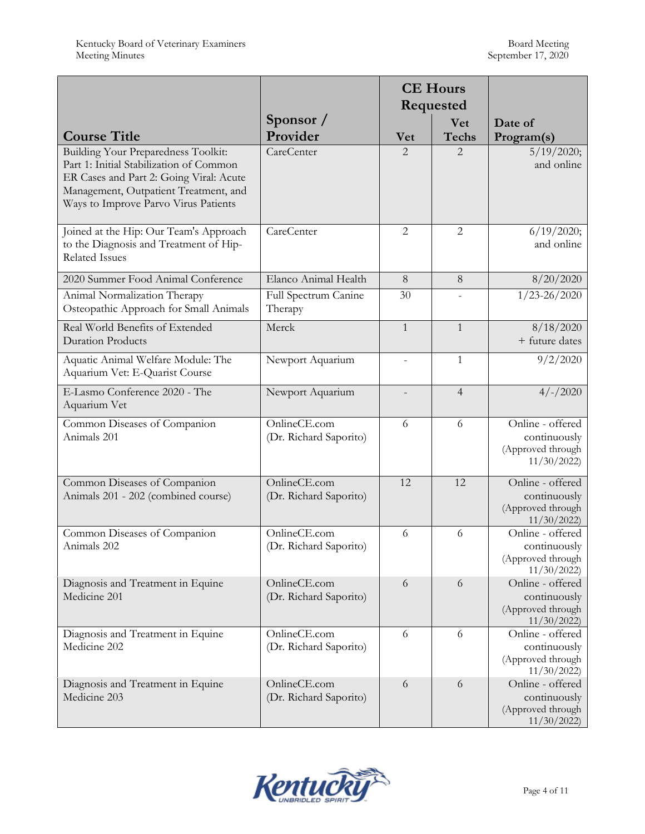|                                                                                                                                                                                                            |                                        |                             | <b>CE Hours</b><br>Requested |                                                                     |
|------------------------------------------------------------------------------------------------------------------------------------------------------------------------------------------------------------|----------------------------------------|-----------------------------|------------------------------|---------------------------------------------------------------------|
| <b>Course Title</b>                                                                                                                                                                                        | Sponsor /<br>Provider                  | <b>Vet</b>                  | <b>Vet</b><br><b>Techs</b>   | Date of<br>Program(s)                                               |
| Building Your Preparedness Toolkit:<br>Part 1: Initial Stabilization of Common<br>ER Cases and Part 2: Going Viral: Acute<br>Management, Outpatient Treatment, and<br>Ways to Improve Parvo Virus Patients | <b>CareCenter</b>                      | $\mathcal{D}_{\mathcal{L}}$ | $\overline{2}$               | 5/19/2020;<br>and online                                            |
| Joined at the Hip: Our Team's Approach<br>to the Diagnosis and Treatment of Hip-<br><b>Related Issues</b>                                                                                                  | CareCenter                             | $\overline{2}$              | $\overline{2}$               | 6/19/2020;<br>and online                                            |
| 2020 Summer Food Animal Conference                                                                                                                                                                         | Elanco Animal Health                   | 8                           | 8                            | 8/20/2020                                                           |
| Animal Normalization Therapy<br>Osteopathic Approach for Small Animals                                                                                                                                     | Full Spectrum Canine<br>Therapy        | 30                          |                              | $1/23 - 26/2020$                                                    |
| Real World Benefits of Extended<br><b>Duration Products</b>                                                                                                                                                | Merck                                  | $\mathbf{1}$                | $\mathbf{1}$                 | 8/18/2020<br>+ future dates                                         |
| Aquatic Animal Welfare Module: The<br>Aquarium Vet: E-Quarist Course                                                                                                                                       | Newport Aquarium                       | $\overline{a}$              | $\mathbf{1}$                 | 9/2/2020                                                            |
| E-Lasmo Conference 2020 - The<br>Aquarium Vet                                                                                                                                                              | Newport Aquarium                       |                             | $\overline{4}$               | $4/-/2020$                                                          |
| Common Diseases of Companion<br>Animals 201                                                                                                                                                                | OnlineCE.com<br>(Dr. Richard Saporito) | 6                           | 6                            | Online - offered<br>continuously<br>(Approved through<br>11/30/2022 |
| Common Diseases of Companion<br>Animals 201 - 202 (combined course)                                                                                                                                        | OnlineCE.com<br>(Dr. Richard Saporito) | 12                          | 12                           | Online - offered<br>continuously<br>(Approved through<br>11/30/2022 |
| Common Diseases of Companion<br>Animals 202                                                                                                                                                                | OnlineCE.com<br>(Dr. Richard Saporito) | 6                           | 6                            | Online - offered<br>continuously<br>(Approved through<br>11/30/2022 |
| Diagnosis and Treatment in Equine<br>Medicine 201                                                                                                                                                          | OnlineCE.com<br>(Dr. Richard Saporito) | 6                           | 6                            | Online - offered<br>continuously<br>(Approved through<br>11/30/2022 |
| Diagnosis and Treatment in Equine<br>Medicine 202                                                                                                                                                          | OnlineCE.com<br>(Dr. Richard Saporito) | 6                           | 6                            | Online - offered<br>continuously<br>(Approved through<br>11/30/2022 |
| Diagnosis and Treatment in Equine<br>Medicine 203                                                                                                                                                          | OnlineCE.com<br>(Dr. Richard Saporito) | 6                           | 6                            | Online - offered<br>continuously<br>(Approved through<br>11/30/2022 |

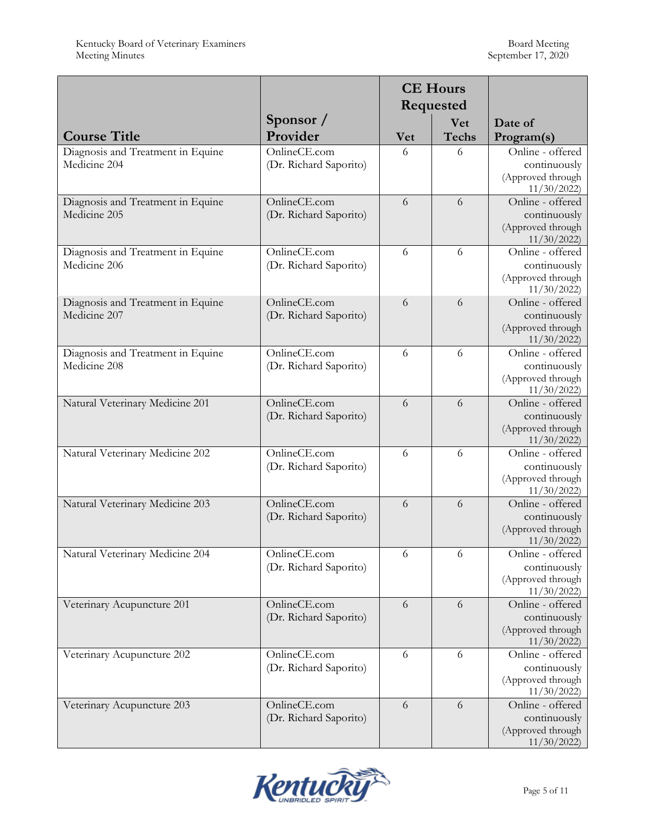|                                   |                        | <b>CE Hours</b><br><b>Requested</b> |              |                                   |
|-----------------------------------|------------------------|-------------------------------------|--------------|-----------------------------------|
|                                   | Sponsor /              |                                     | Vet          | Date of                           |
| <b>Course Title</b>               | Provider               | <b>Vet</b>                          | <b>Techs</b> | Program(s)                        |
| Diagnosis and Treatment in Equine | OnlineCE.com           | 6                                   | 6            | Online - offered                  |
| Medicine 204                      | (Dr. Richard Saporito) |                                     |              | continuously<br>(Approved through |
|                                   |                        |                                     |              | 11/30/2022                        |
| Diagnosis and Treatment in Equine | OnlineCE.com           | 6                                   | 6            | Online - offered                  |
| Medicine 205                      | (Dr. Richard Saporito) |                                     |              | continuously                      |
|                                   |                        |                                     |              | (Approved through                 |
|                                   |                        |                                     |              | 11/30/2022                        |
| Diagnosis and Treatment in Equine | OnlineCE.com           | 6                                   | 6            | Online - offered                  |
| Medicine 206                      | (Dr. Richard Saporito) |                                     |              | continuously                      |
|                                   |                        |                                     |              | (Approved through<br>11/30/2022   |
| Diagnosis and Treatment in Equine | OnlineCE.com           | 6                                   | 6            | Online - offered                  |
| Medicine 207                      | (Dr. Richard Saporito) |                                     |              | continuously                      |
|                                   |                        |                                     |              | (Approved through                 |
|                                   |                        |                                     |              | 11/30/2022                        |
| Diagnosis and Treatment in Equine | OnlineCE.com           | 6                                   | 6            | Online - offered                  |
| Medicine 208                      | (Dr. Richard Saporito) |                                     |              | continuously                      |
|                                   |                        |                                     |              | (Approved through<br>11/30/2022   |
| Natural Veterinary Medicine 201   | OnlineCE.com           | 6                                   | 6            | Online - offered                  |
|                                   | (Dr. Richard Saporito) |                                     |              | continuously                      |
|                                   |                        |                                     |              | (Approved through                 |
|                                   |                        |                                     |              | 11/30/2022                        |
| Natural Veterinary Medicine 202   | OnlineCE.com           | 6                                   | 6            | Online - offered                  |
|                                   | (Dr. Richard Saporito) |                                     |              | continuously                      |
|                                   |                        |                                     |              | (Approved through<br>11/30/2022   |
| Natural Veterinary Medicine 203   | OnlineCE.com           | 6                                   | 6            | Online - offered                  |
|                                   | (Dr. Richard Saporito) |                                     |              | continuously                      |
|                                   |                        |                                     |              | (Approved through                 |
|                                   |                        |                                     |              | 11/30/2022                        |
| Natural Veterinary Medicine 204   | OnlineCE.com           | 6                                   | 6            | Online - offered                  |
|                                   | (Dr. Richard Saporito) |                                     |              | continuously<br>(Approved through |
|                                   |                        |                                     |              | 11/30/2022                        |
| Veterinary Acupuncture 201        | OnlineCE.com           | 6                                   | 6            | Online - offered                  |
|                                   | (Dr. Richard Saporito) |                                     |              | continuously                      |
|                                   |                        |                                     |              | (Approved through                 |
|                                   |                        |                                     |              | 11/30/2022                        |
| Veterinary Acupuncture 202        | OnlineCE.com           | 6                                   | 6            | Online - offered                  |
|                                   | (Dr. Richard Saporito) |                                     |              | continuously<br>(Approved through |
|                                   |                        |                                     |              | 11/30/2022                        |
| Veterinary Acupuncture 203        | OnlineCE.com           | 6                                   | 6            | Online - offered                  |
|                                   | (Dr. Richard Saporito) |                                     |              | continuously                      |
|                                   |                        |                                     |              | (Approved through                 |
|                                   |                        |                                     |              | 11/30/2022                        |

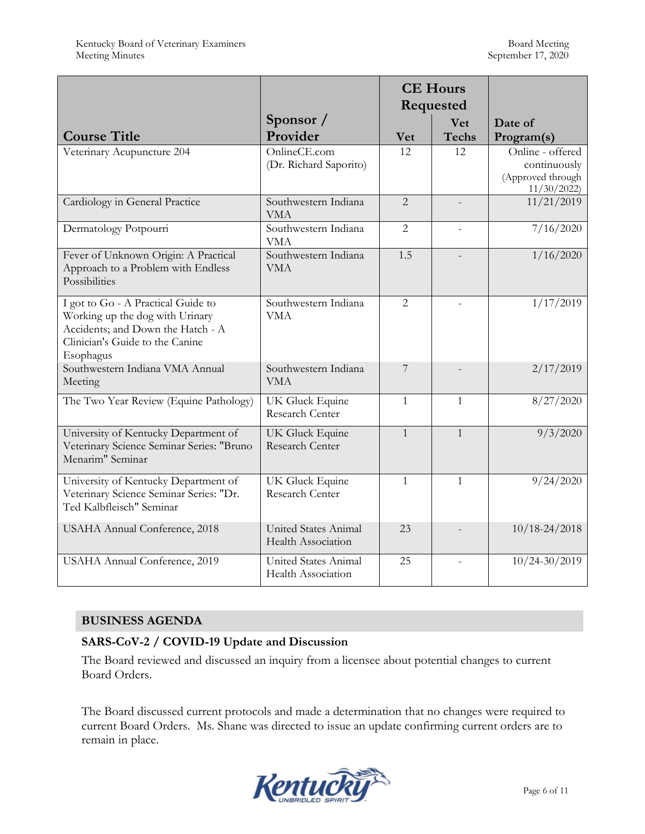|                                                                                                                                                            |                                                   | <b>CE Hours</b><br>Requested |                            |                                                                     |
|------------------------------------------------------------------------------------------------------------------------------------------------------------|---------------------------------------------------|------------------------------|----------------------------|---------------------------------------------------------------------|
| <b>Course Title</b>                                                                                                                                        | Sponsor /<br>Provider                             | <b>Vet</b>                   | <b>Vet</b><br><b>Techs</b> | Date of<br>Program(s)                                               |
| Veterinary Acupuncture 204                                                                                                                                 | OnlineCE.com<br>(Dr. Richard Saporito)            | 12                           | 12                         | Online - offered<br>continuously<br>(Approved through<br>11/30/2022 |
| Cardiology in General Practice                                                                                                                             | Southwestern Indiana<br><b>VMA</b>                | $\overline{2}$               | $\overline{a}$             | 11/21/2019                                                          |
| Dermatology Potpourri                                                                                                                                      | Southwestern Indiana<br><b>VMA</b>                | $\overline{2}$               | $\overline{a}$             | 7/16/2020                                                           |
| Fever of Unknown Origin: A Practical<br>Approach to a Problem with Endless<br>Possibilities                                                                | Southwestern Indiana<br><b>VMA</b>                | 1.5                          | $\overline{a}$             | 1/16/2020                                                           |
| I got to Go - A Practical Guide to<br>Working up the dog with Urinary<br>Accidents; and Down the Hatch - A<br>Clinician's Guide to the Canine<br>Esophagus | Southwestern Indiana<br><b>VMA</b>                | $\overline{2}$               |                            | 1/17/2019                                                           |
| Southwestern Indiana VMA Annual<br>Meeting                                                                                                                 | Southwestern Indiana<br><b>VMA</b>                | $\overline{7}$               |                            | 2/17/2019                                                           |
| The Two Year Review (Equine Pathology)                                                                                                                     | UK Gluck Equine<br>Research Center                | $\mathbf{1}$                 | $\mathbf{1}$               | 8/27/2020                                                           |
| University of Kentucky Department of<br>Veterinary Science Seminar Series: "Bruno<br>Menarim" Seminar                                                      | UK Gluck Equine<br>Research Center                | $\mathbf{1}$                 | $\mathbf{1}$               | 9/3/2020                                                            |
| University of Kentucky Department of<br>Veterinary Science Seminar Series: "Dr.<br>Ted Kalbfleisch" Seminar                                                | UK Gluck Equine<br>Research Center                | $\mathbf{1}$                 | $\mathbf{1}$               | 9/24/2020                                                           |
| USAHA Annual Conference, 2018                                                                                                                              | United States Animal<br>Health Association        | 23                           |                            | $10/18 - 24/2018$                                                   |
| USAHA Annual Conference, 2019                                                                                                                              | United States Animal<br><b>Health Association</b> | 25                           |                            | $10/24 - 30/2019$                                                   |

### **BUSINESS AGENDA**

### **SARS-CoV-2 / COVID-19 Update and Discussion**

The Board reviewed and discussed an inquiry from a licensee about potential changes to current Board Orders.

The Board discussed current protocols and made a determination that no changes were required to current Board Orders. Ms. Shane was directed to issue an update confirming current orders are to remain in place.

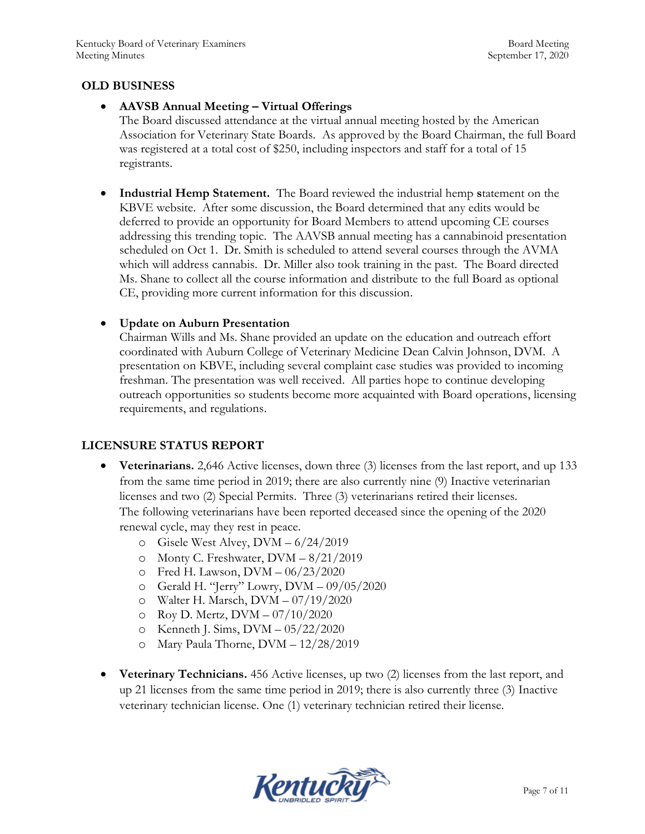### **OLD BUSINESS**

### **AAVSB Annual Meeting – Virtual Offerings**

The Board discussed attendance at the virtual annual meeting hosted by the American Association for Veterinary State Boards. As approved by the Board Chairman, the full Board was registered at a total cost of \$250, including inspectors and staff for a total of 15 registrants.

 **Industrial Hemp Statement.** The Board reviewed the industrial hemp **s**tatement on the KBVE website. After some discussion, the Board determined that any edits would be deferred to provide an opportunity for Board Members to attend upcoming CE courses addressing this trending topic. The AAVSB annual meeting has a cannabinoid presentation scheduled on Oct 1. Dr. Smith is scheduled to attend several courses through the AVMA which will address cannabis. Dr. Miller also took training in the past. The Board directed Ms. Shane to collect all the course information and distribute to the full Board as optional CE, providing more current information for this discussion.

### **Update on Auburn Presentation**

Chairman Wills and Ms. Shane provided an update on the education and outreach effort coordinated with Auburn College of Veterinary Medicine Dean Calvin Johnson, DVM. A presentation on KBVE, including several complaint case studies was provided to incoming freshman. The presentation was well received. All parties hope to continue developing outreach opportunities so students become more acquainted with Board operations, licensing requirements, and regulations.

# **LICENSURE STATUS REPORT**

- **Veterinarians.** 2,646 Active licenses, down three (3) licenses from the last report, and up 133 from the same time period in 2019; there are also currently nine (9) Inactive veterinarian licenses and two (2) Special Permits. Three (3) veterinarians retired their licenses. The following veterinarians have been reported deceased since the opening of the 2020 renewal cycle, may they rest in peace.
	- o Gisele West Alvey, DVM 6/24/2019
	- o Monty C. Freshwater, DVM 8/21/2019
	- o Fred H. Lawson, DVM 06/23/2020
	- o Gerald H. "Jerry" Lowry, DVM 09/05/2020
	- o Walter H. Marsch, DVM 07/19/2020
	- o Roy D. Mertz, DVM 07/10/2020
	- o Kenneth J. Sims, DVM 05/22/2020
	- o Mary Paula Thorne, DVM 12/28/2019
- **Veterinary Technicians.** 456 Active licenses, up two (2) licenses from the last report, and up 21 licenses from the same time period in 2019; there is also currently three (3) Inactive veterinary technician license. One (1) veterinary technician retired their license.

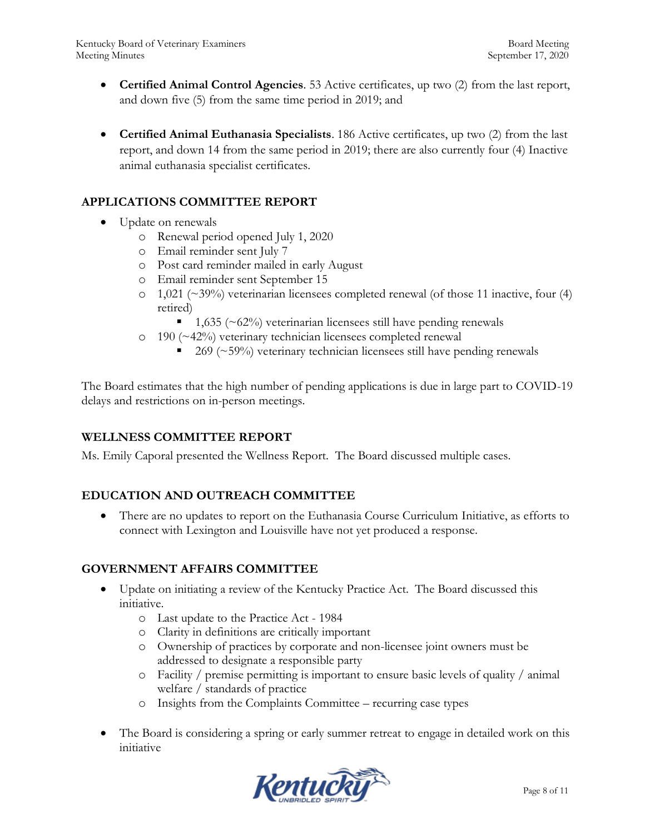- **Certified Animal Control Agencies**. 53 Active certificates, up two (2) from the last report, and down five (5) from the same time period in 2019; and
- **Certified Animal Euthanasia Specialists**. 186 Active certificates, up two (2) from the last report, and down 14 from the same period in 2019; there are also currently four (4) Inactive animal euthanasia specialist certificates.

### **APPLICATIONS COMMITTEE REPORT**

- Update on renewals
	- o Renewal period opened July 1, 2020
	- o Email reminder sent July 7
	- o Post card reminder mailed in early August
	- o Email reminder sent September 15
	- $\circ$  1,021 (~39%) veterinarian licensees completed renewal (of those 11 inactive, four (4) retired)
		- $\blacksquare$  1,635 (~62%) veterinarian licensees still have pending renewals
	- o 190 (~42%) veterinary technician licensees completed renewal
		- $\blacksquare$  269 (~59%) veterinary technician licensees still have pending renewals

The Board estimates that the high number of pending applications is due in large part to COVID-19 delays and restrictions on in-person meetings.

### **WELLNESS COMMITTEE REPORT**

Ms. Emily Caporal presented the Wellness Report. The Board discussed multiple cases.

### **EDUCATION AND OUTREACH COMMITTEE**

 There are no updates to report on the Euthanasia Course Curriculum Initiative, as efforts to connect with Lexington and Louisville have not yet produced a response.

#### **GOVERNMENT AFFAIRS COMMITTEE**

- Update on initiating a review of the Kentucky Practice Act. The Board discussed this initiative.
	- o Last update to the Practice Act 1984
	- o Clarity in definitions are critically important
	- o Ownership of practices by corporate and non-licensee joint owners must be addressed to designate a responsible party
	- o Facility / premise permitting is important to ensure basic levels of quality / animal welfare / standards of practice
	- o Insights from the Complaints Committee recurring case types
- The Board is considering a spring or early summer retreat to engage in detailed work on this initiative

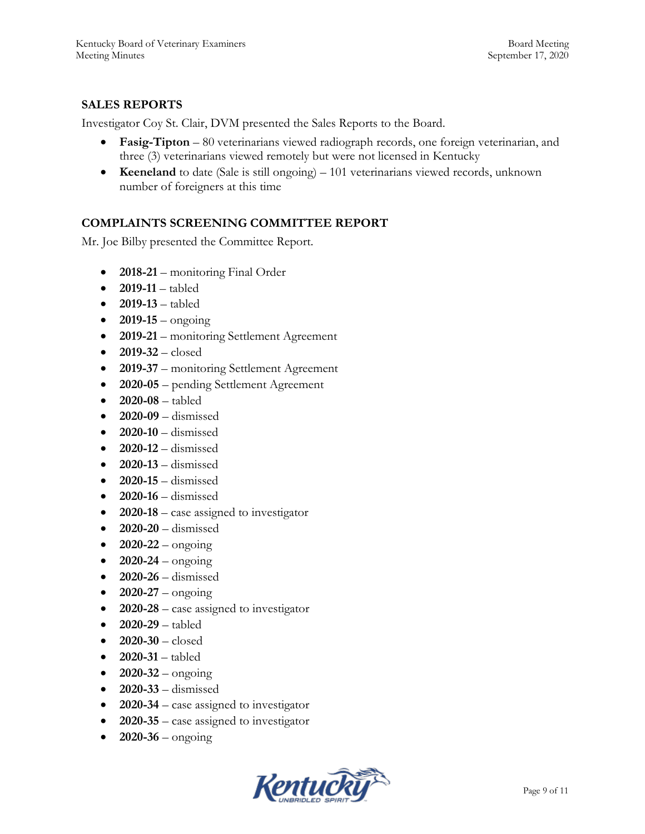# **SALES REPORTS**

Investigator Coy St. Clair, DVM presented the Sales Reports to the Board.

- **Fasig-Tipton** 80 veterinarians viewed radiograph records, one foreign veterinarian, and three (3) veterinarians viewed remotely but were not licensed in Kentucky
- **Keeneland** to date (Sale is still ongoing) 101 veterinarians viewed records, unknown number of foreigners at this time

### **COMPLAINTS SCREENING COMMITTEE REPORT**

Mr. Joe Bilby presented the Committee Report.

- 2018-21 monitoring Final Order
- **2019-11**  tabled
- **2019-13**  tabled
- $2019-15 -$  ongoing
- **2019-21**  monitoring Settlement Agreement
- **2019-32**  closed
- **2019-37** monitoring Settlement Agreement
- **2020-05**  pending Settlement Agreement
- **2020-08**  tabled
- **2020-09**  dismissed
- **2020-10** dismissed
- **2020-12** dismissed
- **2020-13** dismissed
- **2020-15** dismissed
- **2020-16** dismissed
- **2020-18** case assigned to investigator
- **2020-20** dismissed
- $2020 22 \text{ongoing}$
- $2020-24$  ongoing
- **2020-26** dismissed
- $\bullet$  **2020-27** ongoing
- **2020-28** case assigned to investigator
- **2020-29** tabled
- **2020-30** closed
- **2020-31** tabled
- $2020 32 -$  ongoing
- **2020-33** dismissed
- **2020-34** case assigned to investigator
- **2020-35** case assigned to investigator
- $\bullet$  **2020-36** ongoing

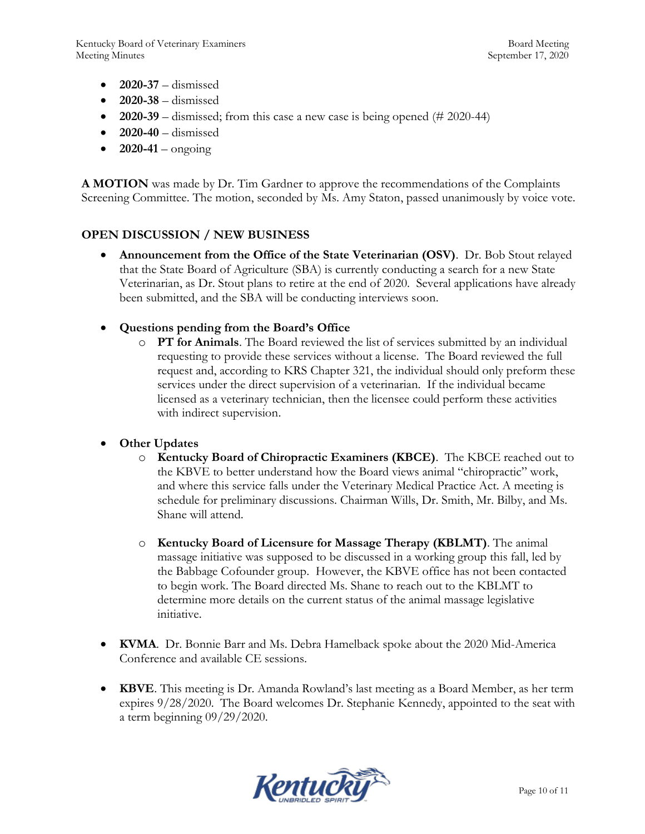- **2020-37** dismissed
- **2020-38** dismissed
- **2020-39** dismissed; from this case a new case is being opened (# 2020-44)
- **2020-40** dismissed
- $\bullet$  **2020-41** ongoing

**A MOTION** was made by Dr. Tim Gardner to approve the recommendations of the Complaints Screening Committee. The motion, seconded by Ms. Amy Staton, passed unanimously by voice vote.

# **OPEN DISCUSSION / NEW BUSINESS**

- **Announcement from the Office of the State Veterinarian (OSV)**. Dr. Bob Stout relayed that the State Board of Agriculture (SBA) is currently conducting a search for a new State Veterinarian, as Dr. Stout plans to retire at the end of 2020. Several applications have already been submitted, and the SBA will be conducting interviews soon.
- **Questions pending from the Board's Office**
	- o **PT for Animals**. The Board reviewed the list of services submitted by an individual requesting to provide these services without a license. The Board reviewed the full request and, according to KRS Chapter 321, the individual should only preform these services under the direct supervision of a veterinarian. If the individual became licensed as a veterinary technician, then the licensee could perform these activities with indirect supervision.

# **Other Updates**

- o **Kentucky Board of Chiropractic Examiners (KBCE)**. The KBCE reached out to the KBVE to better understand how the Board views animal "chiropractic" work, and where this service falls under the Veterinary Medical Practice Act. A meeting is schedule for preliminary discussions. Chairman Wills, Dr. Smith, Mr. Bilby, and Ms. Shane will attend.
- o **Kentucky Board of Licensure for Massage Therapy (KBLMT)**. The animal massage initiative was supposed to be discussed in a working group this fall, led by the Babbage Cofounder group. However, the KBVE office has not been contacted to begin work. The Board directed Ms. Shane to reach out to the KBLMT to determine more details on the current status of the animal massage legislative initiative.
- **KVMA**. Dr. Bonnie Barr and Ms. Debra Hamelback spoke about the 2020 Mid-America Conference and available CE sessions.
- **KBVE**. This meeting is Dr. Amanda Rowland's last meeting as a Board Member, as her term expires 9/28/2020. The Board welcomes Dr. Stephanie Kennedy, appointed to the seat with a term beginning 09/29/2020.

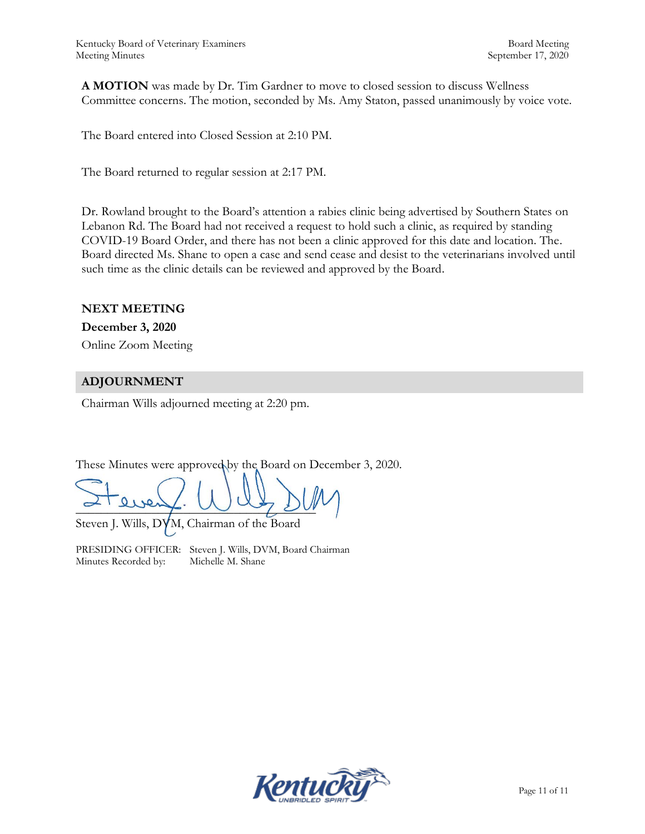**A MOTION** was made by Dr. Tim Gardner to move to closed session to discuss Wellness Committee concerns. The motion, seconded by Ms. Amy Staton, passed unanimously by voice vote.

The Board entered into Closed Session at 2:10 PM.

The Board returned to regular session at 2:17 PM.

Dr. Rowland brought to the Board's attention a rabies clinic being advertised by Southern States on Lebanon Rd. The Board had not received a request to hold such a clinic, as required by standing COVID-19 Board Order, and there has not been a clinic approved for this date and location. The. Board directed Ms. Shane to open a case and send cease and desist to the veterinarians involved until such time as the clinic details can be reviewed and approved by the Board.

#### **NEXT MEETING**

**December 3, 2020** Online Zoom Meeting

### **ADJOURNMENT**

Chairman Wills adjourned meeting at 2:20 pm.

These Minutes were approved by the Board on December 3, 2020.

 $\sim$  1 every.  $\sim$   $\sim$   $\sim$   $\sim$ 

Steven J. Wills, DVM, Chairman of the Board

PRESIDING OFFICER: Steven J. Wills, DVM, Board Chairman Minutes Recorded by: Michelle M. Shane

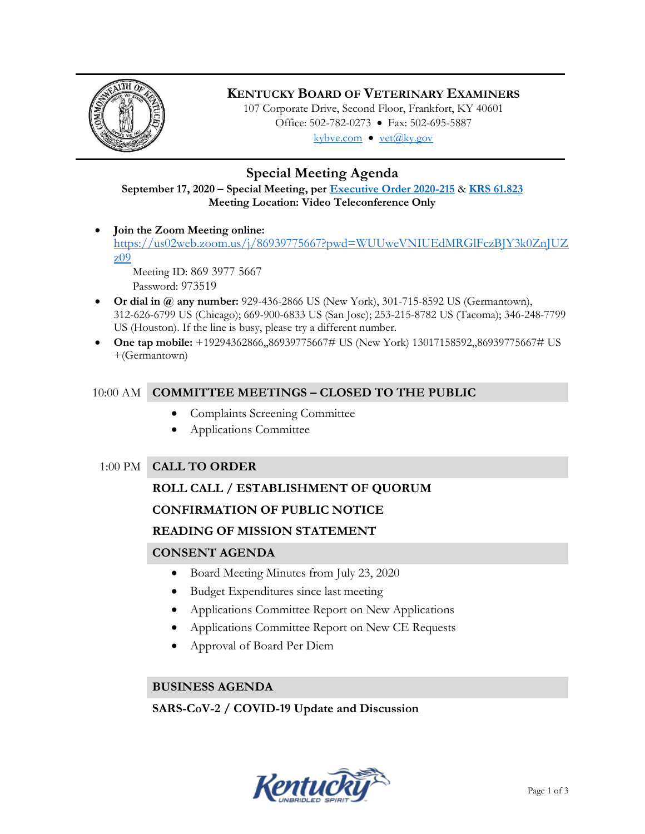

# **KENTUCKY BOARD OF VETERINARY EXAMINERS**

107 Corporate Drive, Second Floor, Frankfort, KY 40601 Office: 502-782-0273 • Fax: 502-695-5887 kybve.com  $\bullet$  vet $(\widehat{a}$ ky.gov

# **Special Meeting Agenda**

**September 17, 2020 – Special Meeting, per [Executive Order 2020-215](https://governor.ky.gov/attachments/20200306_Executive-Order_2020-215.pdf)** & **[KRS 61.823](https://apps.legislature.ky.gov/law/statutes/statute.aspx?id=23047) Meeting Location: Video Teleconference Only**

 **Join the Zoom Meeting online:**  [https://us02web.zoom.us/j/86939775667?pwd=WUUweVNIUEdMRGlFczBJY3k0ZnJUZ](https://us02web.zoom.us/j/86939775667?pwd=WUUweVNIUEdMRGlFczBJY3k0ZnJUZz09) [z09](https://us02web.zoom.us/j/86939775667?pwd=WUUweVNIUEdMRGlFczBJY3k0ZnJUZz09)

Meeting ID: 869 3977 5667 Password: 973519

- **Or dial in @ any number:** 929-436-2866 US (New York), 301-715-8592 US (Germantown), 312-626-6799 US (Chicago); 669-900-6833 US (San Jose); 253-215-8782 US (Tacoma); 346-248-7799 US (Houston). If the line is busy, please try a different number.
- **One tap mobile:** +19294362866,,86939775667# US (New York) 13017158592,,86939775667# US +(Germantown)

# 10:00 AM **COMMITTEE MEETINGS – CLOSED TO THE PUBLIC**

- Complaints Screening Committee
- Applications Committee

# 1:00 PM **CALL TO ORDER**

### **ROLL CALL / ESTABLISHMENT OF QUORUM**

# **CONFIRMATION OF PUBLIC NOTICE**

### **READING OF MISSION STATEMENT**

# **CONSENT AGENDA**

- Board Meeting Minutes from July 23, 2020
- Budget Expenditures since last meeting
- Applications Committee Report on New Applications
- Applications Committee Report on New CE Requests
- Approval of Board Per Diem

### **BUSINESS AGENDA**

**SARS-CoV-2 / COVID-19 Update and Discussion**

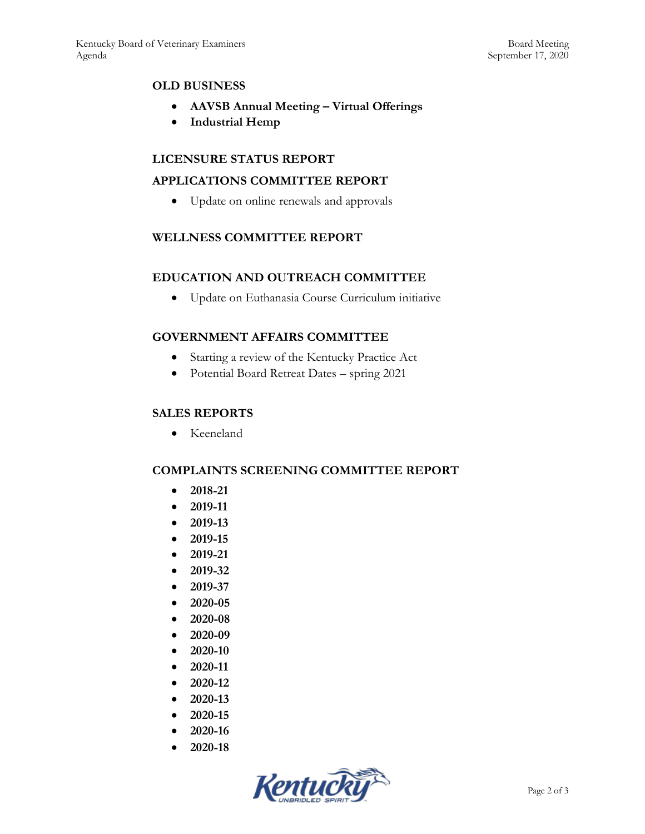### **OLD BUSINESS**

- **AAVSB Annual Meeting – Virtual Offerings**
- **Industrial Hemp**

### **LICENSURE STATUS REPORT**

### **APPLICATIONS COMMITTEE REPORT**

Update on online renewals and approvals

### **WELLNESS COMMITTEE REPORT**

### **EDUCATION AND OUTREACH COMMITTEE**

Update on Euthanasia Course Curriculum initiative

### **GOVERNMENT AFFAIRS COMMITTEE**

- Starting a review of the Kentucky Practice Act
- Potential Board Retreat Dates spring 2021

#### **SALES REPORTS**

• Keeneland

### **COMPLAINTS SCREENING COMMITTEE REPORT**

- **2018-21**
- **2019-11**
- **2019-13**
- **2019-15**
- **2019-21**
- **2019-32**
- **2019-37**
- **2020-05**
- **2020-08**
- 
- **2020-09**
- **2020-10**
- **2020-11**
- **2020-12**
- **2020-13**
- **2020-15**
- **2020-16**
- **2020-18**